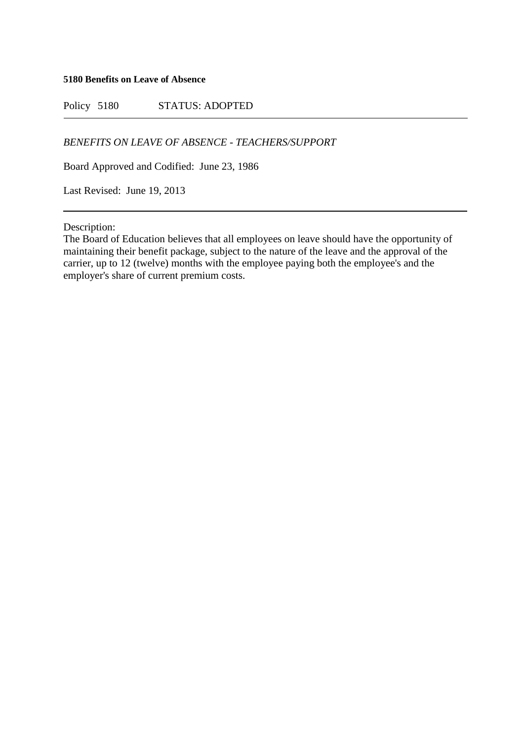**5180 Benefits on Leave of Absence**

Policy 5180 STATUS: ADOPTED

*BENEFITS ON LEAVE OF ABSENCE - TEACHERS/SUPPORT*

Board Approved and Codified: June 23, 1986

Last Revised: June 19, 2013

Description:

The Board of Education believes that all employees on leave should have the opportunity of maintaining their benefit package, subject to the nature of the leave and the approval of the carrier, up to 12 (twelve) months with the employee paying both the employee's and the employer's share of current premium costs.